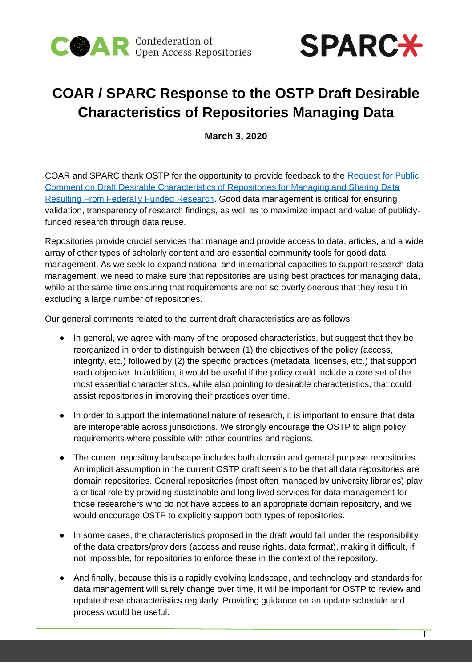



# **COAR / SPARC Response to the OSTP Draft Desirable Characteristics of Repositories Managing Data**

**March 3, 2020**

COAR and SPARC thank OSTP for the opportunity to provide feedback to the [Request for Public](https://www.federalregister.gov/documents/2020/01/17/2020-00689/request-for-public-comment-on-draft-desirable-characteristics-of-repositories-for-managing-and)  [Comment on Draft Desirable Characteristics of Repositories for Managing and Sharing Data](https://www.federalregister.gov/documents/2020/01/17/2020-00689/request-for-public-comment-on-draft-desirable-characteristics-of-repositories-for-managing-and)  [Resulting From Federally Funded Research.](https://www.federalregister.gov/documents/2020/01/17/2020-00689/request-for-public-comment-on-draft-desirable-characteristics-of-repositories-for-managing-and) Good data management is critical for ensuring validation, transparency of research findings, as well as to maximize impact and value of publiclyfunded research through data reuse.

Repositories provide crucial services that manage and provide access to data, articles, and a wide array of other types of scholarly content and are essential community tools for good data management. As we seek to expand national and international capacities to support research data management, we need to make sure that repositories are using best practices for managing data, while at the same time ensuring that requirements are not so overly onerous that they result in excluding a large number of repositories.

Our general comments related to the current draft characteristics are as follows:

- In general, we agree with many of the proposed characteristics, but suggest that they be reorganized in order to distinguish between (1) the objectives of the policy (access, integrity, etc.) followed by (2) the specific practices (metadata, licenses, etc.) that support each objective. In addition, it would be useful if the policy could include a core set of the most essential characteristics, while also pointing to desirable characteristics, that could assist repositories in improving their practices over time.
- In order to support the international nature of research, it is important to ensure that data are interoperable across jurisdictions. We strongly encourage the OSTP to align policy requirements where possible with other countries and regions.
- The current repository landscape includes both domain and general purpose repositories. An implicit assumption in the current OSTP draft seems to be that all data repositories are domain repositories. General repositories (most often managed by university libraries) play a critical role by providing sustainable and long lived services for data management for those researchers who do not have access to an appropriate domain repository, and we would encourage OSTP to explicitly support both types of repositories.
- In some cases, the characteristics proposed in the draft would fall under the responsibility of the data creators/providers (access and reuse rights, data format), making it difficult, if not impossible, for repositories to enforce these in the context of the repository.
- And finally, because this is a rapidly evolving landscape, and technology and standards for data management will surely change over time, it will be important for OSTP to review and update these characteristics regularly. Providing guidance on an update schedule and process would be useful.

 $\overline{1}$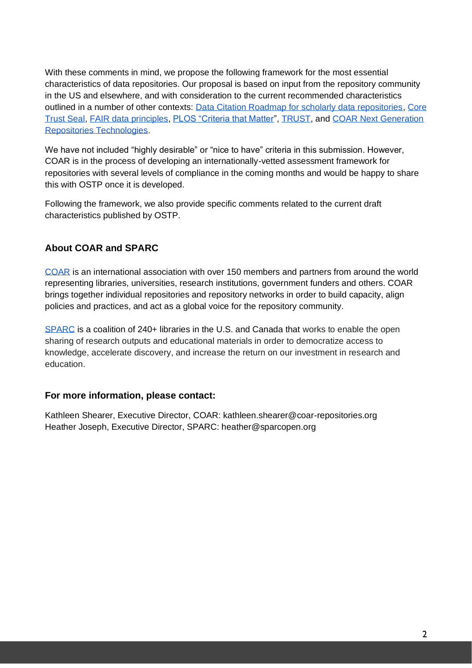With these comments in mind, we propose the following framework for the most essential characteristics of data repositories. Our proposal is based on input from the repository community in the US and elsewhere, and with consideration to the current recommended characteristics outlined in a number of other contexts: [Data Citation Roadmap for scholarly data repositories,](https://www.nature.com/articles/s41597-019-0031-8) [Core](https://www.coretrustseal.org/wp-content/uploads/2019/02/CoreTrustSeal-Draft_Requirements_2020-2022_v00_01.pdf)  [Trust Seal,](https://www.coretrustseal.org/wp-content/uploads/2019/02/CoreTrustSeal-Draft_Requirements_2020-2022_v00_01.pdf) [FAIR data principles,](https://www.go-fair.org/fair-principles/) [PLOS "Criteria that Matter"](https://blogs.plos.org/plos/2019/11/request-for-comments-on-data-repository-selection-criteria-that-matter/), [TRUST,](https://docs.google.com/document/d/1UCsdnz0wk9TeMj1Dqxi8wuZ2Lu_TNVkpJ2TX48yKsec/edit) and [COAR Next Generation](https://ngr.coar-repositories.org/)  [Repositories Technologies.](https://ngr.coar-repositories.org/)

We have not included "highly desirable" or "nice to have" criteria in this submission. However, COAR is in the process of developing an internationally-vetted assessment framework for repositories with several levels of compliance in the coming months and would be happy to share this with OSTP once it is developed.

Following the framework, we also provide specific comments related to the current draft characteristics published by OSTP.

### **About COAR and SPARC**

[COAR](http://www.coar-repositories.org/) is an international association with over 150 members and partners from around the world representing libraries, universities, research institutions, government funders and others. COAR brings together individual repositories and repository networks in order to build capacity, align policies and practices, and act as a global voice for the repository community.

[SPARC](https://sparcopen.org/) is a coalition of 240+ libraries in the U.S. and Canada that works to enable the open sharing of research outputs and educational materials in order to democratize access to knowledge, accelerate discovery, and increase the return on our investment in research and education.

#### **For more information, please contact:**

Kathleen Shearer, Executive Director, COAR: kathleen.shearer@coar-repositories.org Heather Joseph, Executive Director, SPARC: heather@sparcopen.org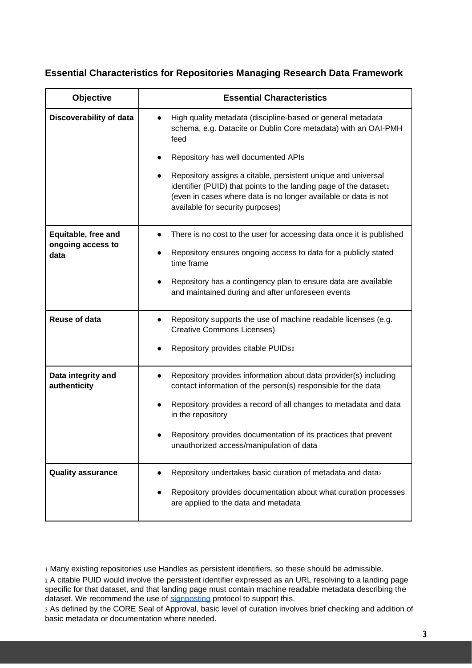#### **Essential Characteristics for Repositories Managing Research Data Framework**

| <b>Objective</b>                   | <b>Essential Characteristics</b>                                                                                                                                                                                                          |
|------------------------------------|-------------------------------------------------------------------------------------------------------------------------------------------------------------------------------------------------------------------------------------------|
| Discoverability of data            | High quality metadata (discipline-based or general metadata<br>schema, e.g. Datacite or Dublin Core metadata) with an OAI-PMH<br>feed                                                                                                     |
|                                    | Repository has well documented APIs                                                                                                                                                                                                       |
|                                    | Repository assigns a citable, persistent unique and universal<br>identifier (PUID) that points to the landing page of the dataset1<br>(even in cases where data is no longer available or data is not<br>available for security purposes) |
| Equitable, free and                | There is no cost to the user for accessing data once it is published                                                                                                                                                                      |
| ongoing access to<br>data          | Repository ensures ongoing access to data for a publicly stated<br>time frame                                                                                                                                                             |
|                                    | Repository has a contingency plan to ensure data are available<br>and maintained during and after unforeseen events                                                                                                                       |
| <b>Reuse of data</b>               | Repository supports the use of machine readable licenses (e.g.<br><b>Creative Commons Licenses)</b>                                                                                                                                       |
|                                    | Repository provides citable PUIDs2                                                                                                                                                                                                        |
| Data integrity and<br>authenticity | Repository provides information about data provider(s) including<br>contact information of the person(s) responsible for the data                                                                                                         |
|                                    | Repository provides a record of all changes to metadata and data<br>in the repository                                                                                                                                                     |
|                                    | Repository provides documentation of its practices that prevent<br>unauthorized access/manipulation of data                                                                                                                               |
| <b>Quality assurance</b>           | Repository undertakes basic curation of metadata and data3                                                                                                                                                                                |
|                                    | Repository provides documentation about what curation processes<br>are applied to the data and metadata                                                                                                                                   |

<sup>1</sup> Many existing repositories use Handles as persistent identifiers, so these should be admissible.

<sup>2</sup> A citable PUID would involve the persistent identifier expressed as an URL resolving to a landing page specific for that dataset, and that landing page must contain machine readable metadata describing the dataset. We recommend the use of [signposting](https://ngr.coar-repositories.org/technology/signposting/) protocol to support this.

3 As defined by the CORE Seal of Approval, basic level of curation involves brief checking and addition of basic metadata or documentation where needed.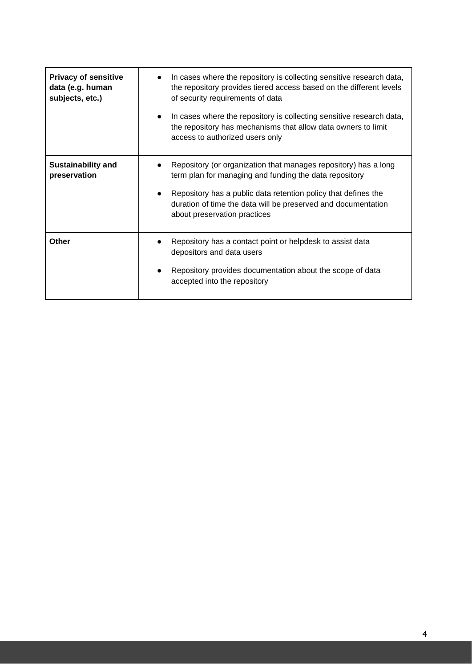| <b>Privacy of sensitive</b><br>data (e.g. human<br>subjects, etc.) | In cases where the repository is collecting sensitive research data,<br>$\bullet$<br>the repository provides tiered access based on the different levels<br>of security requirements of data<br>In cases where the repository is collecting sensitive research data,<br>$\bullet$<br>the repository has mechanisms that allow data owners to limit<br>access to authorized users only |
|--------------------------------------------------------------------|---------------------------------------------------------------------------------------------------------------------------------------------------------------------------------------------------------------------------------------------------------------------------------------------------------------------------------------------------------------------------------------|
| <b>Sustainability and</b><br>preservation                          | Repository (or organization that manages repository) has a long<br>term plan for managing and funding the data repository<br>Repository has a public data retention policy that defines the<br>$\bullet$<br>duration of time the data will be preserved and documentation<br>about preservation practices                                                                             |
| Other                                                              | Repository has a contact point or helpdesk to assist data<br>$\bullet$<br>depositors and data users<br>Repository provides documentation about the scope of data<br>accepted into the repository                                                                                                                                                                                      |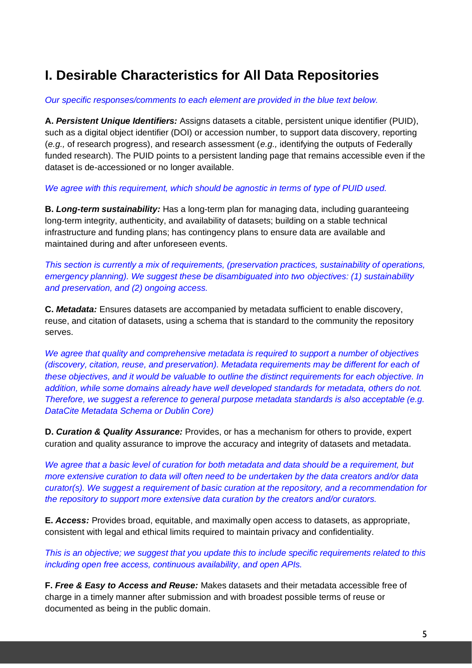## **I. Desirable Characteristics for All Data Repositories**

#### *Our specific responses/comments to each element are provided in the blue text below.*

**A.** *Persistent Unique Identifiers:* Assigns datasets a citable, persistent unique identifier (PUID), such as a digital object identifier (DOI) or accession number, to support data discovery, reporting (*e.g.,* of research progress), and research assessment (*e.g.,* identifying the outputs of Federally funded research). The PUID points to a persistent landing page that remains accessible even if the dataset is de-accessioned or no longer available.

*We agree with this requirement, which should be agnostic in terms of type of PUID used.*

**B.** *Long-term sustainability:* Has a long-term plan for managing data, including guaranteeing long-term integrity, authenticity, and availability of datasets; building on a stable technical infrastructure and funding plans; has contingency plans to ensure data are available and maintained during and after unforeseen events.

*This section is currently a mix of requirements, (preservation practices, sustainability of operations, emergency planning). We suggest these be disambiguated into two objectives: (1) sustainability and preservation, and (2) ongoing access.*

**C.** *Metadata:* Ensures datasets are accompanied by metadata sufficient to enable discovery, reuse, and citation of datasets, using a schema that is standard to the community the repository serves.

*We agree that quality and comprehensive metadata is required to support a number of objectives (discovery, citation, reuse, and preservation). Metadata requirements may be different for each of these objectives, and it would be valuable to outline the distinct requirements for each objective. In addition, while some domains already have well developed standards for metadata, others do not. Therefore, we suggest a reference to general purpose metadata standards is also acceptable (e.g. DataCite Metadata Schema or Dublin Core)*

**D.** *Curation & Quality Assurance:* Provides, or has a mechanism for others to provide, expert curation and quality assurance to improve the accuracy and integrity of datasets and metadata.

*We agree that a basic level of curation for both metadata and data should be a requirement, but more extensive curation to data will often need to be undertaken by the data creators and/or data curator(s). We suggest a requirement of basic curation at the repository, and a recommendation for the repository to support more extensive data curation by the creators and/or curators.*

**E.** *Access:* Provides broad, equitable, and maximally open access to datasets, as appropriate, consistent with legal and ethical limits required to maintain privacy and confidentiality.

*This is an objective; we suggest that you update this to include specific requirements related to this including open free access, continuous availability, and open APIs.*

**F.** *Free & Easy to Access and Reuse:* Makes datasets and their metadata accessible free of charge in a timely manner after submission and with broadest possible terms of reuse or documented as being in the public domain.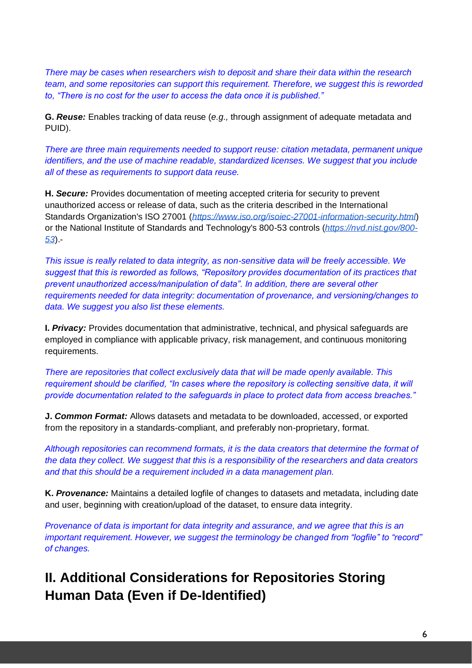*There may be cases when researchers wish to deposit and share their data within the research team, and some repositories can support this requirement. Therefore, we suggest this is reworded to, "There is no cost for the user to access the data once it is published."*

**G.** *Reuse:* Enables tracking of data reuse (*e.g.,* through assignment of adequate metadata and PUID).

*There are three main requirements needed to support reuse: citation metadata, permanent unique identifiers, and the use of machine readable, standardized licenses. We suggest that you include all of these as requirements to support data reuse.*

**H.** *Secure:* Provides documentation of meeting accepted criteria for security to prevent unauthorized access or release of data, such as the criteria described in the International Standards Organization's ISO 27001 (*<https://www.iso.org/isoiec-27001-information-security.html>*) or the National Institute of Standards and Technology's 800-53 controls (*[https://nvd.nist.gov/800-](https://nvd.nist.gov/800-53) [53](https://nvd.nist.gov/800-53)*).-

*This issue is really related to data integrity, as non-sensitive data will be freely accessible. We suggest that this is reworded as follows, "Repository provides documentation of its practices that prevent unauthorized access/manipulation of data". In addition, there are several other requirements needed for data integrity: documentation of provenance, and versioning/changes to data. We suggest you also list these elements.* 

**I.** *Privacy:* Provides documentation that administrative, technical, and physical safeguards are employed in compliance with applicable privacy, risk management, and continuous monitoring requirements.

*There are repositories that collect exclusively data that will be made openly available. This requirement should be clarified, "In cases where the repository is collecting sensitive data, it will provide documentation related to the safeguards in place to protect data from access breaches."*

**J.** *Common Format:* Allows datasets and metadata to be downloaded, accessed, or exported from the repository in a standards-compliant, and preferably non-proprietary, format.

*Although repositories can recommend formats, it is the data creators that determine the format of the data they collect. We suggest that this is a responsibility of the researchers and data creators and that this should be a requirement included in a data management plan.*

**K.** *Provenance:* Maintains a detailed logfile of changes to datasets and metadata, including date and user, beginning with creation/upload of the dataset, to ensure data integrity.

*Provenance of data is important for data integrity and assurance, and we agree that this is an important requirement. However, we suggest the terminology be changed from "logfile" to "record" of changes.* 

## **II. Additional Considerations for Repositories Storing Human Data (Even if De-Identified)**